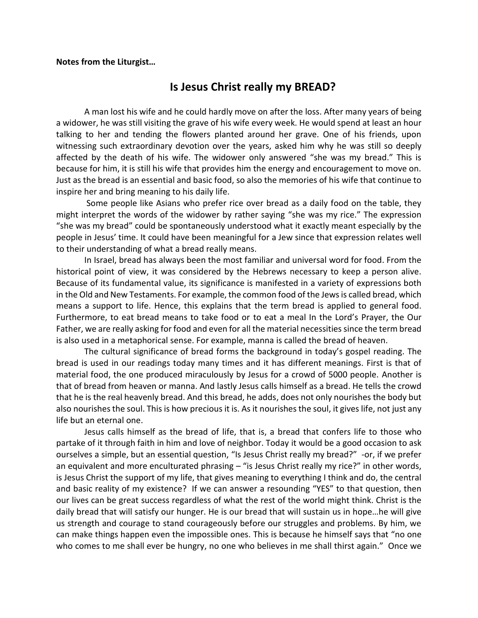## **Notes from the Liturgist…**

## **Is Jesus Christ really my BREAD?**

A man lost his wife and he could hardly move on after the loss. After many years of being a widower, he was still visiting the grave of his wife every week. He would spend at least an hour talking to her and tending the flowers planted around her grave. One of his friends, upon witnessing such extraordinary devotion over the years, asked him why he was still so deeply affected by the death of his wife. The widower only answered "she was my bread." This is because for him, it is still his wife that provides him the energy and encouragement to move on. Just as the bread is an essential and basic food, so also the memories of his wife that continue to inspire her and bring meaning to his daily life.

Some people like Asians who prefer rice over bread as a daily food on the table, they might interpret the words of the widower by rather saying "she was my rice." The expression "she was my bread" could be spontaneously understood what it exactly meant especially by the people in Jesus' time. It could have been meaningful for a Jew since that expression relates well to their understanding of what a bread really means.

In Israel, bread has always been the most familiar and universal word for food. From the historical point of view, it was considered by the Hebrews necessary to keep a person alive. Because of its fundamental value, its significance is manifested in a variety of expressions both in the Old and New Testaments. For example, the common food of the Jews is called bread, which means a support to life. Hence, this explains that the term bread is applied to general food. Furthermore, to eat bread means to take food or to eat a meal In the Lord's Prayer, the Our Father, we are really asking for food and even for all the material necessities since the term bread is also used in a metaphorical sense. For example, manna is called the bread of heaven.

The cultural significance of bread forms the background in today's gospel reading. The bread is used in our readings today many times and it has different meanings. First is that of material food, the one produced miraculously by Jesus for a crowd of 5000 people. Another is that of bread from heaven or manna. And lastly Jesus calls himself as a bread. He tells the crowd that he is the real heavenly bread. And this bread, he adds, does not only nourishes the body but also nourishes the soul. This is how precious it is. As it nourishes the soul, it gives life, not just any life but an eternal one.

Jesus calls himself as the bread of life, that is, a bread that confers life to those who partake of it through faith in him and love of neighbor. Today it would be a good occasion to ask ourselves a simple, but an essential question, "Is Jesus Christ really my bread?" -or, if we prefer an equivalent and more enculturated phrasing – "is Jesus Christ really my rice?" in other words, is Jesus Christ the support of my life, that gives meaning to everything I think and do, the central and basic reality of my existence? If we can answer a resounding "YES" to that question, then our lives can be great success regardless of what the rest of the world might think. Christ is the daily bread that will satisfy our hunger. He is our bread that will sustain us in hope…he will give us strength and courage to stand courageously before our struggles and problems. By him, we can make things happen even the impossible ones. This is because he himself says that "no one who comes to me shall ever be hungry, no one who believes in me shall thirst again." Once we